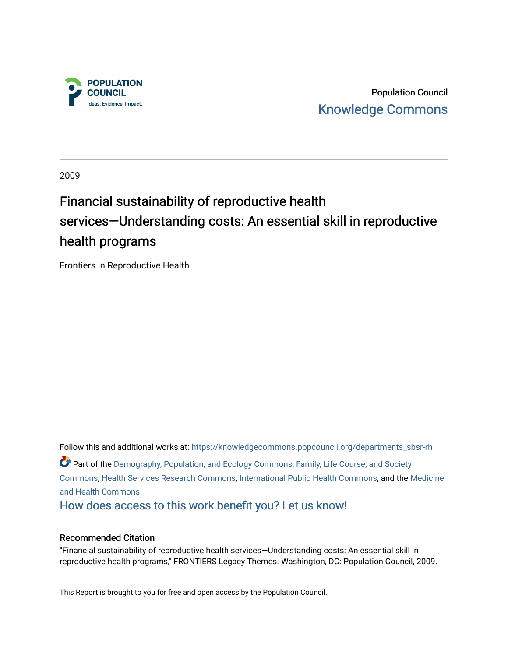

Population Council [Knowledge Commons](https://knowledgecommons.popcouncil.org/) 

2009

# Financial sustainability of reproductive health services—Understanding costs: An essential skill in reproductive health programs

Frontiers in Reproductive Health

Follow this and additional works at: [https://knowledgecommons.popcouncil.org/departments\\_sbsr-rh](https://knowledgecommons.popcouncil.org/departments_sbsr-rh?utm_source=knowledgecommons.popcouncil.org%2Fdepartments_sbsr-rh%2F973&utm_medium=PDF&utm_campaign=PDFCoverPages)  Part of the [Demography, Population, and Ecology Commons,](https://network.bepress.com/hgg/discipline/418?utm_source=knowledgecommons.popcouncil.org%2Fdepartments_sbsr-rh%2F973&utm_medium=PDF&utm_campaign=PDFCoverPages) [Family, Life Course, and Society](https://network.bepress.com/hgg/discipline/419?utm_source=knowledgecommons.popcouncil.org%2Fdepartments_sbsr-rh%2F973&utm_medium=PDF&utm_campaign=PDFCoverPages)  [Commons](https://network.bepress.com/hgg/discipline/419?utm_source=knowledgecommons.popcouncil.org%2Fdepartments_sbsr-rh%2F973&utm_medium=PDF&utm_campaign=PDFCoverPages), [Health Services Research Commons](https://network.bepress.com/hgg/discipline/816?utm_source=knowledgecommons.popcouncil.org%2Fdepartments_sbsr-rh%2F973&utm_medium=PDF&utm_campaign=PDFCoverPages), [International Public Health Commons,](https://network.bepress.com/hgg/discipline/746?utm_source=knowledgecommons.popcouncil.org%2Fdepartments_sbsr-rh%2F973&utm_medium=PDF&utm_campaign=PDFCoverPages) and the [Medicine](https://network.bepress.com/hgg/discipline/422?utm_source=knowledgecommons.popcouncil.org%2Fdepartments_sbsr-rh%2F973&utm_medium=PDF&utm_campaign=PDFCoverPages) [and Health Commons](https://network.bepress.com/hgg/discipline/422?utm_source=knowledgecommons.popcouncil.org%2Fdepartments_sbsr-rh%2F973&utm_medium=PDF&utm_campaign=PDFCoverPages)  [How does access to this work benefit you? Let us know!](https://pcouncil.wufoo.com/forms/open-access-to-population-council-research/)

#### Recommended Citation

"Financial sustainability of reproductive health services—Understanding costs: An essential skill in reproductive health programs," FRONTIERS Legacy Themes. Washington, DC: Population Council, 2009.

This Report is brought to you for free and open access by the Population Council.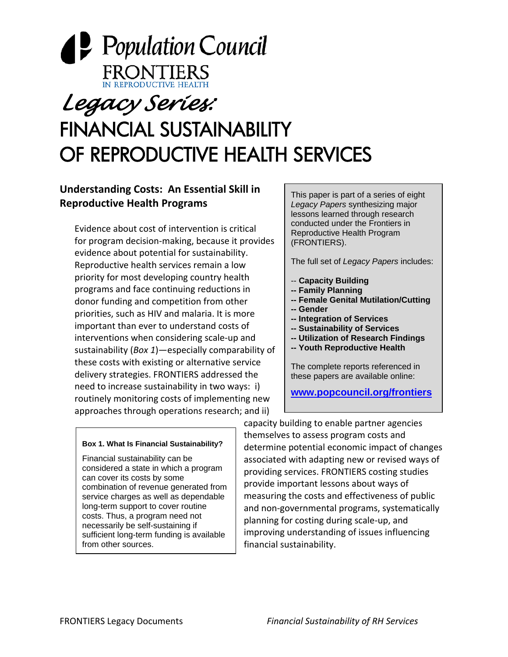

# *Legacy Series:*  FINANCIAL SUSTAINABILITY OF REPRODUCTIVE HEALTH SERVICES

# **Understanding Costs: An Essential Skill in Reproductive Health Programs**

Evidence about cost of intervention is critical for program decision‐making, because it provides evidence about potential for sustainability. Reproductive health services remain a low priority for most developing country health programs and face continuing reductions in donor funding and competition from other priorities, such as HIV and malaria. It is more important than ever to understand costs of interventions when considering scale‐up and sustainability (*Box 1*)—especially comparability of these costs with existing or alternative service delivery strategies. FRONTIERS addressed the need to increase sustainability in two ways: i) routinely monitoring costs of implementing new approaches through operations research; and ii)

#### **Box 1. What Is Financial Sustainability?**

Financial sustainability can be considered a state in which a program can cover its costs by some combination of revenue generated from service charges as well as dependable long-term support to cover routine costs. Thus, a program need not necessarily be self-sustaining if sufficient long-term funding is available from other sources.

This paper is part of a series of eight *Legacy Papers* synthesizing major lessons learned through research conducted under the Frontiers in Reproductive Health Program (FRONTIERS).

The full set of *Legacy Papers* includes:

- -- **Capacity Building**
- **-- Family Planning**
- **-- Female Genital Mutilation/Cutting**
- **-- Gender**
- **-- Integration of Services**
- **-- Sustainability of Services**
- **-- Utilization of Research Findings**
- **-- Youth Reproductive Health**

The complete reports referenced in these papers are available online:

**[www.popcouncil.org/frontiers](http://www.popcouncil.org/frontiers)**

capacity building to enable partner agencies themselves to assess program costs and determine potential economic impact of changes associated with adapting new or revised ways of providing services. FRONTIERS costing studies provide important lessons about ways of measuring the costs and effectiveness of public and non‐governmental programs, systematically planning for costing during scale‐up, and improving understanding of issues influencing financial sustainability.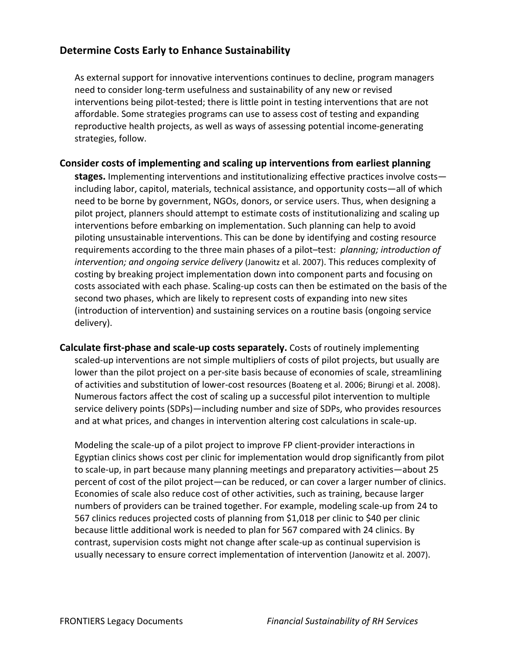# **Determine Costs Early to Enhance Sustainability**

As external support for innovative interventions continues to decline, program managers need to consider long‐term usefulness and sustainability of any new or revised interventions being pilot-tested; there is little point in testing interventions that are not affordable. Some strategies programs can use to assess cost of testing and expanding reproductive health projects, as well as ways of assessing potential income‐generating strategies, follow.

#### **Consider costs of implementing and scaling up interventions from earliest planning**

**stages.** Implementing interventions and institutionalizing effective practices involve costs including labor, capitol, materials, technical assistance, and opportunity costs—all of which need to be borne by government, NGOs, donors, or service users. Thus, when designing a pilot project, planners should attempt to estimate costs of institutionalizing and scaling up interventions before embarking on implementation. Such planning can help to avoid piloting unsustainable interventions. This can be done by identifying and costing resource requirements according to the three main phases of a pilot–test: *planning; introduction of intervention; and ongoing service delivery* (Janowitz et al. 2007). This reduces complexity of costing by breaking project implementation down into component parts and focusing on costs associated with each phase. Scaling‐up costs can then be estimated on the basis of the second two phases, which are likely to represent costs of expanding into new sites (introduction of intervention) and sustaining services on a routine basis (ongoing service delivery).

**Calculate first‐phase and scale‐up costs separately.** Costs of routinely implementing scaled-up interventions are not simple multipliers of costs of pilot projects, but usually are lower than the pilot project on a per-site basis because of economies of scale, streamlining of activities and substitution of lower‐cost resources (Boateng et al. 2006; Birungi et al. 2008). Numerous factors affect the cost of scaling up a successful pilot intervention to multiple service delivery points (SDPs)—including number and size of SDPs, who provides resources and at what prices, and changes in intervention altering cost calculations in scale‐up.

Modeling the scale‐up of a pilot project to improve FP client‐provider interactions in Egyptian clinics shows cost per clinic for implementation would drop significantly from pilot to scale‐up, in part because many planning meetings and preparatory activities—about 25 percent of cost of the pilot project—can be reduced, or can cover a larger number of clinics. Economies of scale also reduce cost of other activities, such as training, because larger numbers of providers can be trained together. For example, modeling scale‐up from 24 to 567 clinics reduces projected costs of planning from \$1,018 per clinic to \$40 per clinic because little additional work is needed to plan for 567 compared with 24 clinics. By contrast, supervision costs might not change after scale‐up as continual supervision is usually necessary to ensure correct implementation of intervention (Janowitz et al. 2007).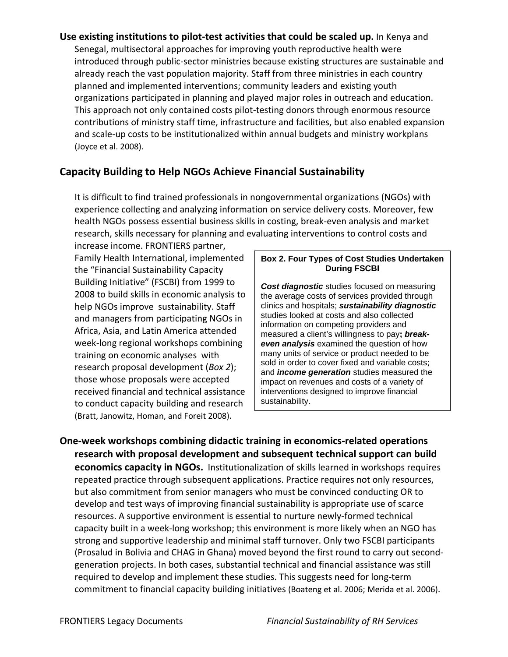**Use existing institutions to pilot‐test activities that could be scaled up.** In Kenya and Senegal, multisectoral approaches for improving youth reproductive health were introduced through public‐sector ministries because existing structures are sustainable and already reach the vast population majority. Staff from three ministries in each country planned and implemented interventions; community leaders and existing youth organizations participated in planning and played major roles in outreach and education. This approach not only contained costs pilot‐testing donors through enormous resource contributions of ministry staff time, infrastructure and facilities, but also enabled expansion and scale‐up costs to be institutionalized within annual budgets and ministry workplans (Joyce et al. 2008).

# **Capacity Building to Help NGOs Achieve Financial Sustainability**

It is difficult to find trained professionals in nongovernmental organizations (NGOs) with experience collecting and analyzing information on service delivery costs. Moreover, few health NGOs possess essential business skills in costing, break‐even analysis and market research, skills necessary for planning and evaluating interventions to control costs and

increase income. FRONTIERS partner, Family Health International, implemented the "Financial Sustainability Capacity Building Initiative" (FSCBI) from 1999 to 2008 to build skills in economic analysis to help NGOs improve sustainability. Staff and managers from participating NGOs in Africa, Asia, and Latin America attended week‐long regional workshops combining training on economic analyses with research proposal development (*Box 2*); those whose proposals were accepted received financial and technical assistance to conduct capacity building and research (Bratt, Janowitz, Homan, and Foreit 2008).

#### **Box 2. Four Types of Cost Studies Undertaken During FSCBI**

*Cost diagnostic* studies focused on measuring the average costs of services provided through clinics and hospitals; *sustainability diagnostic* studies looked at costs and also collected information on competing providers and measured a client's willingness to pay**;** *breakeven analysis* examined the question of how many units of service or product needed to be sold in order to cover fixed and variable costs; and *income generation* studies measured the impact on revenues and costs of a variety of interventions designed to improve financial sustainability.

**One‐week workshops combining didactic training in economics‐related operations research with proposal development and subsequent technical support can build economics capacity in NGOs.** Institutionalization of skills learned in workshops requires repeated practice through subsequent applications. Practice requires not only resources, but also commitment from senior managers who must be convinced conducting OR to develop and test ways of improving financial sustainability is appropriate use of scarce resources. A supportive environment is essential to nurture newly‐formed technical capacity built in a week‐long workshop; this environment is more likely when an NGO has strong and supportive leadership and minimal staff turnover. Only two FSCBI participants (Prosalud in Bolivia and CHAG in Ghana) moved beyond the first round to carry out second‐ generation projects. In both cases, substantial technical and financial assistance was still required to develop and implement these studies. This suggests need for long-term commitment to financial capacity building initiatives (Boateng et al. 2006; Merida et al. 2006).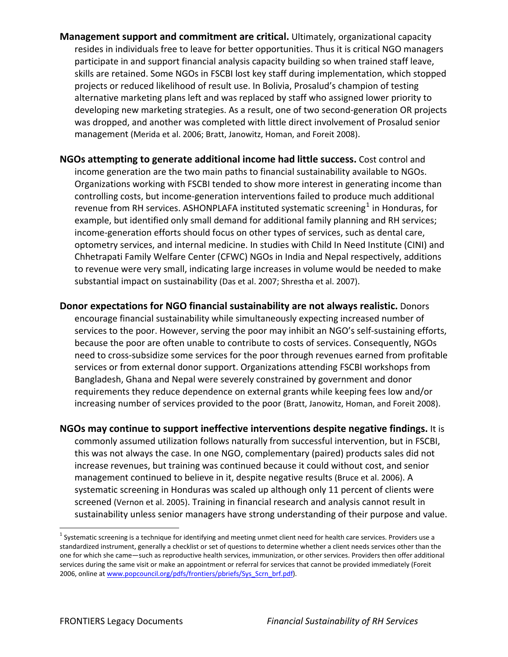- **Management support and commitment are critical.** Ultimately, organizational capacity resides in individuals free to leave for better opportunities. Thus it is critical NGO managers participate in and support financial analysis capacity building so when trained staff leave, skills are retained. Some NGOs in FSCBI lost key staff during implementation, which stopped projects or reduced likelihood of result use. In Bolivia, Prosalud's champion of testing alternative marketing plans left and was replaced by staff who assigned lower priority to developing new marketing strategies. As a result, one of two second‐generation OR projects was dropped, and another was completed with little direct involvement of Prosalud senior management (Merida et al. 2006; Bratt, Janowitz, Homan, and Foreit 2008).
- **NGOs attempting to generate additional income had little success.** Cost control and income generation are the two main paths to financial sustainability available to NGOs. Organizations working with FSCBI tended to show more interest in generating income than controlling costs, but income‐generation interventions failed to produce much additional revenue from RH services. ASHONPLAFA instituted systematic screening $<sup>1</sup>$  $<sup>1</sup>$  $<sup>1</sup>$  in Honduras, for</sup> example, but identified only small demand for additional family planning and RH services; income‐generation efforts should focus on other types of services, such as dental care, optometry services, and internal medicine. In studies with Child In Need Institute (CINI) and Chhetrapati Family Welfare Center (CFWC) NGOs in India and Nepal respectively, additions to revenue were very small, indicating large increases in volume would be needed to make substantial impact on sustainability (Das et al. 2007; Shrestha et al. 2007).
- **Donor expectations for NGO financial sustainability are not always realistic.** Donors encourage financial sustainability while simultaneously expecting increased number of services to the poor. However, serving the poor may inhibit an NGO's self-sustaining efforts, because the poor are often unable to contribute to costs of services. Consequently, NGOs need to cross‐subsidize some services for the poor through revenues earned from profitable services or from external donor support. Organizations attending FSCBI workshops from Bangladesh, Ghana and Nepal were severely constrained by government and donor requirements they reduce dependence on external grants while keeping fees low and/or increasing number of services provided to the poor (Bratt, Janowitz, Homan, and Foreit 2008).
- **NGOs may continue to support ineffective interventions despite negative findings.** It is commonly assumed utilization follows naturally from successful intervention, but in FSCBI, this was not always the case. In one NGO, complementary (paired) products sales did not increase revenues, but training was continued because it could without cost, and senior management continued to believe in it, despite negative results (Bruce et al. 2006). A systematic screening in Honduras was scaled up although only 11 percent of clients were screened (Vernon et al. 2005). Training in financial research and analysis cannot result in sustainability unless senior managers have strong understanding of their purpose and value.

<u>.</u>

<span id="page-4-0"></span> $1$  Systematic screening is a technique for identifying and meeting unmet client need for health care services. Providers use a standardized instrument, generally a checklist or set of questions to determine whether a client needs services other than the one for which she came—such as reproductive health services, immunization, or other services. Providers then offer additional services during the same visit or make an appointment or referral for services that cannot be provided immediately (Foreit 2006, online at [www.popcouncil.org/pdfs/frontiers/pbriefs/Sys\\_Scrn\\_brf.pdf](http://www.popcouncil.org/pdfs/frontiers/pbriefs/Sys_Scrn_brf.pdf)).